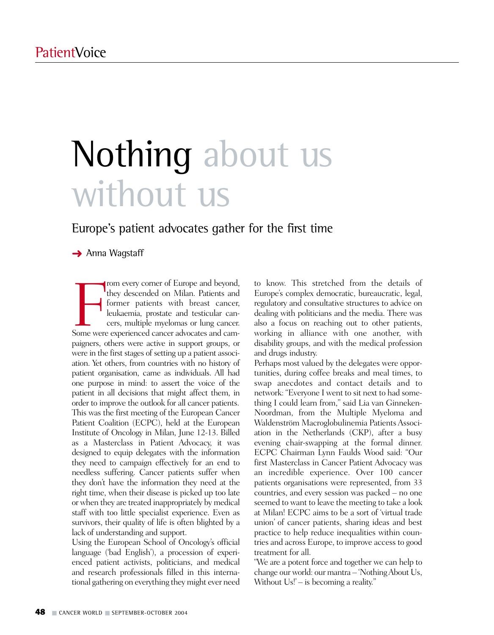# Nothing about us without us

### Europe's patient advocates gather for the first time

**→** Anna Wagstaff

From every corner of Europe and beyond, they descended on Milan. Patients and former patients with breast cancer, leukaemia, prostate and testicular cancers, multiple myelomas or lung cancer. Some were experienced cancer a rom every corner of Europe and beyond, they descended on Milan. Patients and former patients with breast cancer, leukaemia, prostate and testicular cancers, multiple myelomas or lung cancer. paigners, others were active in support groups, or were in the first stages of setting up a patient association. Yet others, from countries with no history of patient organisation, came as individuals. All had one purpose in mind: to assert the voice of the patient in all decisions that might affect them, in order to improve the outlook for all cancer patients. This was the first meeting of the European Cancer Patient Coalition (ECPC), held at the European Institute of Oncology in Milan, June 12-13. Billed as a Masterclass in Patient Advocacy, it was designed to equip delegates with the information they need to campaign effectively for an end to needless suffering. Cancer patients suffer when they don't have the information they need at the right time, when their disease is picked up too late or when they are treated inappropriately by medical staff with too little specialist experience. Even as survivors, their quality of life is often blighted by a lack of understanding and support.

Using the European School of Oncology's official language ('bad English'), a procession of experienced patient activists, politicians, and medical and research professionals filled in this international gathering on everything they might ever need to know. This stretched from the details of Europe's complex democratic, bureaucratic, legal, regulatory and consultative structures to advice on dealing with politicians and the media. There was also a focus on reaching out to other patients, working in alliance with one another, with disability groups, and with the medical profession and drugs industry.

Perhaps most valued by the delegates were opportunities, during coffee breaks and meal times, to swap anecdotes and contact details and to network: "Everyone I went to sit next to had something I could learn from," said Lia van Ginneken-Noordman, from the Multiple Myeloma and Waldenström Macroglobulinemia Patients Association in the Netherlands (CKP), after a busy evening chair-swapping at the formal dinner. ECPC Chairman Lynn Faulds Wood said: "Our first Masterclass in Cancer Patient Advocacy was an incredible experience. Over 100 cancer patients organisations were represented, from 33 countries, and every session was packed – no one seemed to want to leave the meeting to take a look at Milan! ECPC aims to be a sort of 'virtual trade union' of cancer patients, sharing ideas and best practice to help reduce inequalities within countries and across Europe, to improve access to good treatment for all.

"We are a potent force and together we can help to change our world: our mantra – 'Nothing About Us, Without Us!' – is becoming a reality."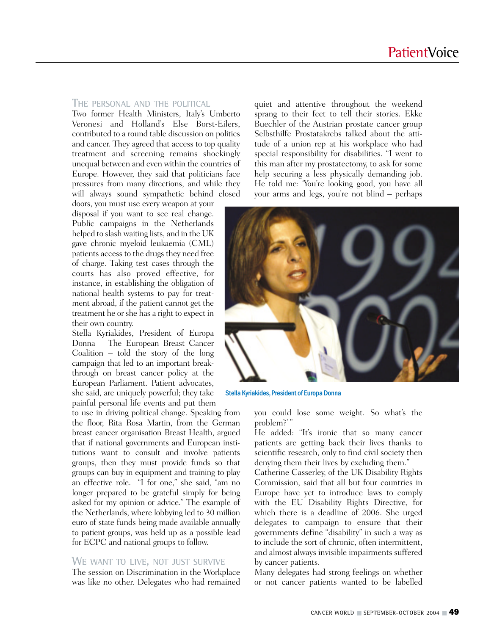#### **THE PERSONAL AND THE POLITICAL**

Two former Health Ministers, Italy's Umberto Veronesi and Holland's Else Borst-Eilers, contributed to a round table discussion on politics and cancer. They agreed that access to top quality treatment and screening remains shockingly unequal between and even within the countries of Europe. However, they said that politicians face pressures from many directions, and while they will always sound sympathetic behind closed

doors, you must use every weapon at your disposal if you want to see real change. Public campaigns in the Netherlands helped to slash waiting lists, and in the UK gave chronic myeloid leukaemia (CML) patients access to the drugs they need free of charge. Taking test cases through the courts has also proved effective, for instance, in establishing the obligation of national health systems to pay for treatment abroad, if the patient cannot get the treatment he or she has a right to expect in their own country.

Stella Kyriakides, President of Europa Donna – The European Breast Cancer Coalition – told the story of the long campaign that led to an important breakthrough on breast cancer policy at the European Parliament. Patient advocates, she said, are uniquely powerful; they take painful personal life events and put them

to use in driving political change. Speaking from the floor, Rita Rosa Martin, from the German breast cancer organisation Breast Health, argued that if national governments and European institutions want to consult and involve patients groups, then they must provide funds so that groups can buy in equipment and training to play an effective role. "I for one," she said, "am no longer prepared to be grateful simply for being asked for my opinion or advice." The example of the Netherlands, where lobbying led to 30 million euro of state funds being made available annually to patient groups, was held up as a possible lead for ECPC and national groups to follow.

#### **WE WANT TO LIVE, NOT JUST SURVIVE**

The session on Discrimination in the Workplace was like no other. Delegates who had remained quiet and attentive throughout the weekend sprang to their feet to tell their stories. Ekke Buechler of the Austrian prostate cancer group Selbsthilfe Prostatakrebs talked about the attitude of a union rep at his workplace who had special responsibility for disabilities. "I went to this man after my prostatectomy, to ask for some help securing a less physically demanding job. He told me: 'You're looking good, you have all your arms and legs, you're not blind – perhaps



Stella Kyriakides, President of Europa Donna

you could lose some weight. So what's the problem?' "

He added: "It's ironic that so many cancer patients are getting back their lives thanks to scientific research, only to find civil society then denying them their lives by excluding them."

Catherine Casserley, of the UK Disability Rights Commission, said that all but four countries in Europe have yet to introduce laws to comply with the EU Disability Rights Directive, for which there is a deadline of 2006. She urged delegates to campaign to ensure that their governments define "disability" in such a way as to include the sort of chronic, often intermittent, and almost always invisible impairments suffered by cancer patients.

Many delegates had strong feelings on whether or not cancer patients wanted to be labelled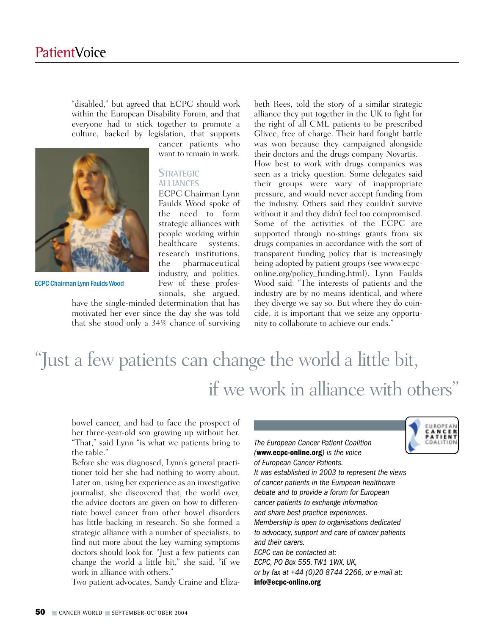"disabled," but agreed that ECPC should work within the European Disability Forum, and that everyone had to stick together to promote a culture, backed by legislation, that supports

cancer patients who want to remain in work.

### **STRATEGIC ALLIANCES**

ECPC Chairman Lynn Faulds Wood spoke of the need to form strategic alliances with people working within healthcare systems, research institutions, the pharmaceutical industry, and politics. Few of these professionals, she argued,

ECPC Chairman Lynn Faulds Wood

have the single-minded determination that has motivated her ever since the day she was told that she stood only a 34% chance of surviving beth Rees, told the story of a similar strategic alliance they put together in the UK to fight for the right of all CML patients to be prescribed Glivec, free of charge. Their hard fought battle was won because they campaigned alongside their doctors and the drugs company Novartis.

How best to work with drugs companies was seen as a tricky question. Some delegates said their groups were wary of inappropriate pressure, and would never accept funding from the industry. Others said they couldn't survive without it and they didn't feel too compromised. Some of the activities of the ECPC are supported through no-strings grants from six drugs companies in accordance with the sort of transparent funding policy that is increasingly being adopted by patient groups (see www.ecpconline.org/policy\_funding.html). Lynn Faulds Wood said: "The interests of patients and the industry are by no means identical, and where they diverge we say so. But where they do coincide, it is important that we seize any opportunity to collaborate to achieve our ends."

## "Just a few patients can change the world a little bit, if we work in alliance with others"

bowel cancer, and had to face the prospect of her three-year-old son growing up without her. "That," said Lynn "is what we patients bring to the table."

Before she was diagnosed, Lynn's general practitioner told her she had nothing to worry about. Later on, using her experience as an investigative journalist, she discovered that, the world over, the advice doctors are given on how to differentiate bowel cancer from other bowel disorders has little backing in research. So she formed a strategic alliance with a number of specialists, to find out more about the key warning symptoms doctors should look for. "Just a few patients can change the world a little bit," she said, "if we work in alliance with others."

Two patient advocates, Sandy Craine and Eliza-

*The European Cancer Patient Coalition (***www.ecpc-online.org***) is the voice of European Cancer Patients. It was established in 2003 to represent the views of cancer patients in the European healthcare debate and to provide a forum for European cancer patients to exchange information and share best practice experiences. Membership is open to organisations dedicated to advocacy, support and care of cancer patients and their carers. ECPC can be contacted at: ECPC, PO Box 555, TW1 1WX, UK, or by fax at +44 (0)20 8744 2266, or e-mail at:* **info@ecpc-online.org**



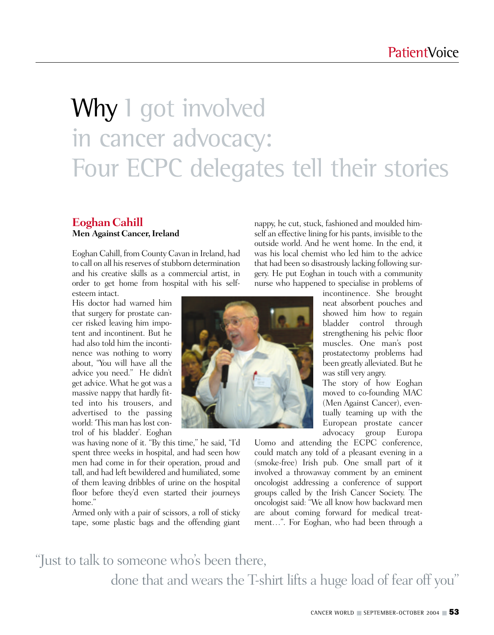## Why I got involved in cancer advocacy: Four ECPC delegates tell their stories

### **Eoghan Cahill Men Against Cancer, Ireland**

Eoghan Cahill, from County Cavan in Ireland, had to call on all his reserves of stubborn determination and his creative skills as a commercial artist, in order to get home from hospital with his selfesteem intact.

His doctor had warned him that surgery for prostate cancer risked leaving him impotent and incontinent. But he had also told him the incontinence was nothing to worry about, "You will have all the advice you need." He didn't get advice. What he got was a massive nappy that hardly fitted into his trousers, and advertised to the passing world: 'This man has lost control of his bladder'. Eoghan

was having none of it. "By this time," he said, "I'd spent three weeks in hospital, and had seen how men had come in for their operation, proud and tall, and had left bewildered and humiliated, some of them leaving dribbles of urine on the hospital floor before they'd even started their journeys home."

Armed only with a pair of scissors, a roll of sticky tape, some plastic bags and the offending giant nappy, he cut, stuck, fashioned and moulded himself an effective lining for his pants, invisible to the outside world. And he went home. In the end, it was his local chemist who led him to the advice that had been so disastrously lacking following surgery. He put Eoghan in touch with a community nurse who happened to specialise in problems of



incontinence. She brought neat absorbent pouches and showed him how to regain bladder control through strengthening his pelvic floor muscles. One man's post prostatectomy problems had been greatly alleviated. But he was still very angry.

The story of how Eoghan moved to co-founding MAC (Men Against Cancer), eventually teaming up with the European prostate cancer advocacy group Europa

Uomo and attending the ECPC conference, could match any told of a pleasant evening in a (smoke-free) Irish pub. One small part of it involved a throwaway comment by an eminent oncologist addressing a conference of support groups called by the Irish Cancer Society. The oncologist said: "We all know how backward men are about coming forward for medical treatment…". For Eoghan, who had been through a

### "Just to talk to someone who's been there, done that and wears the T-shirt lifts a huge load of fear off you"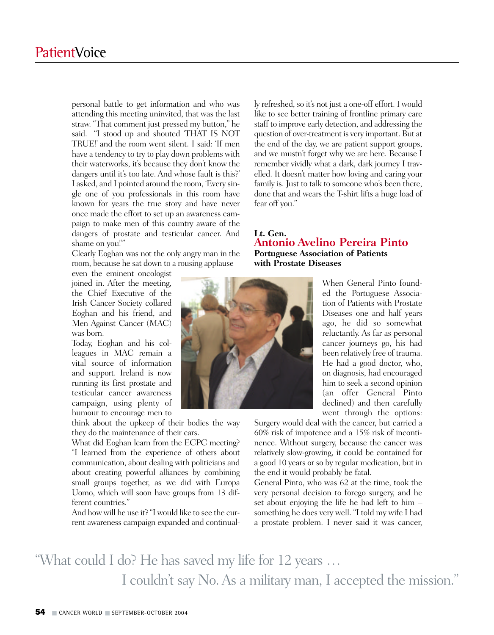personal battle to get information and who was attending this meeting uninvited, that was the last straw. "That comment just pressed my button," he said. "I stood up and shouted 'THAT IS NOT TRUE!' and the room went silent. I said: 'If men have a tendency to try to play down problems with their waterworks, it's because they don't know the dangers until it's too late. And whose fault is this?' I asked, and I pointed around the room, 'Every single one of you professionals in this room have known for years the true story and have never once made the effort to set up an awareness campaign to make men of this country aware of the dangers of prostate and testicular cancer. And shame on you!'"

Clearly Eoghan was not the only angry man in the room, because he sat down to a rousing applause –

even the eminent oncologist joined in. After the meeting, the Chief Executive of the Irish Cancer Society collared Eoghan and his friend, and Men Against Cancer (MAC) was born.

Today, Eoghan and his colleagues in MAC remain a vital source of information and support. Ireland is now running its first prostate and testicular cancer awareness campaign, using plenty of humour to encourage men to

think about the upkeep of their bodies the way they do the maintenance of their cars.

What did Eoghan learn from the ECPC meeting? "I learned from the experience of others about communication, about dealing with politicians and about creating powerful alliances by combining small groups together, as we did with Europa Uomo, which will soon have groups from 13 different countries."

And how will he use it? "I would like to see the current awareness campaign expanded and continually refreshed, so it's not just a one-off effort. I would like to see better training of frontline primary care staff to improve early detection, and addressing the question of over-treatment is very important. But at the end of the day, we are patient support groups, and we mustn't forget why we are here. Because I remember vividly what a dark, dark journey I travelled. It doesn't matter how loving and caring your family is. Just to talk to someone who's been there, done that and wears the T-shirt lifts a huge load of fear off you."

### **Lt. Gen. Antonio Avelino Pereira Pinto Portuguese Association of Patients with Prostate Diseases**

When General Pinto founded the Portuguese Association of Patients with Prostate Diseases one and half years ago, he did so somewhat reluctantly. As far as personal cancer journeys go, his had been relatively free of trauma. He had a good doctor, who, on diagnosis, had encouraged him to seek a second opinion (an offer General Pinto declined) and then carefully went through the options:

Surgery would deal with the cancer, but carried a 60% risk of impotence and a 15% risk of incontinence. Without surgery, because the cancer was relatively slow-growing, it could be contained for a good 10 years or so by regular medication, but in the end it would probably be fatal.

General Pinto, who was 62 at the time, took the very personal decision to forego surgery, and he set about enjoying the life he had left to him – something he does very well. "I told my wife I had a prostate problem. I never said it was cancer,

### "What could I do? He has saved my life for 12 years … I couldn't say No. As a military man, I accepted the mission."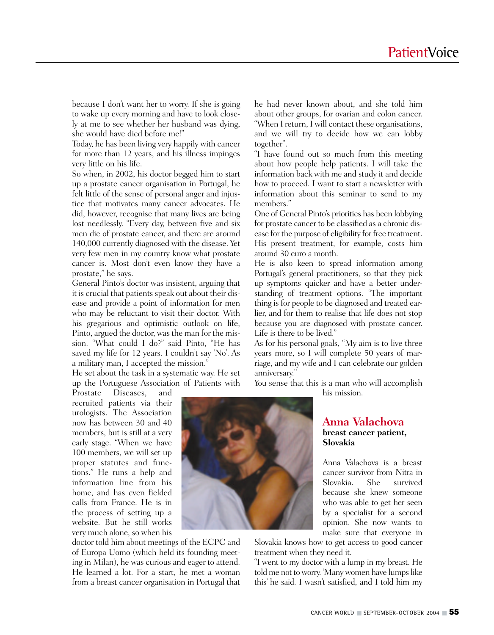because I don't want her to worry. If she is going to wake up every morning and have to look closely at me to see whether her husband was dying, she would have died before me!"

Today, he has been living very happily with cancer for more than 12 years, and his illness impinges very little on his life.

So when, in 2002, his doctor begged him to start up a prostate cancer organisation in Portugal, he felt little of the sense of personal anger and injustice that motivates many cancer advocates. He did, however, recognise that many lives are being lost needlessly. "Every day, between five and six men die of prostate cancer, and there are around 140,000 currently diagnosed with the disease. Yet very few men in my country know what prostate cancer is. Most don't even know they have a prostate," he says.

General Pinto's doctor was insistent, arguing that it is crucial that patients speak out about their disease and provide a point of information for men who may be reluctant to visit their doctor. With his gregarious and optimistic outlook on life, Pinto, argued the doctor, was the man for the mission. "What could I do?" said Pinto, "He has saved my life for 12 years. I couldn't say 'No'. As a military man, I accepted the mission."

He set about the task in a systematic way. He set up the Portuguese Association of Patients with

Prostate Diseases, and recruited patients via their urologists. The Association now has between 30 and 40 members, but is still at a very early stage. "When we have 100 members, we will set up proper statutes and functions." He runs a help and information line from his home, and has even fielded calls from France. He is in the process of setting up a website. But he still works very much alone, so when his

doctor told him about meetings of the ECPC and of Europa Uomo (which held its founding meeting in Milan), he was curious and eager to attend. He learned a lot. For a start, he met a woman from a breast cancer organisation in Portugal that he had never known about, and she told him about other groups, for ovarian and colon cancer.

"When I return, I will contact these organisations, and we will try to decide how we can lobby together".

"I have found out so much from this meeting about how people help patients. I will take the information back with me and study it and decide how to proceed. I want to start a newsletter with information about this seminar to send to my members."

One of General Pinto's priorities has been lobbying for prostate cancer to be classified as a chronic disease for the purpose of eligibility for free treatment. His present treatment, for example, costs him around 30 euro a month.

He is also keen to spread information among Portugal's general practitioners, so that they pick up symptoms quicker and have a better understanding of treatment options. "The important thing is for people to be diagnosed and treated earlier, and for them to realise that life does not stop because you are diagnosed with prostate cancer. Life is there to be lived."

As for his personal goals, "My aim is to live three years more, so I will complete 50 years of marriage, and my wife and I can celebrate our golden anniversary."

You sense that this is a man who will accomplish his mission.



Anna Valachova is a breast cancer survivor from Nitra in Slovakia. She survived because she knew someone who was able to get her seen by a specialist for a second opinion. She now wants to make sure that everyone in

Slovakia knows how to get access to good cancer treatment when they need it.

"I went to my doctor with a lump in my breast. He told me not to worry. 'Many women have lumps like this' he said. I wasn't satisfied, and I told him my

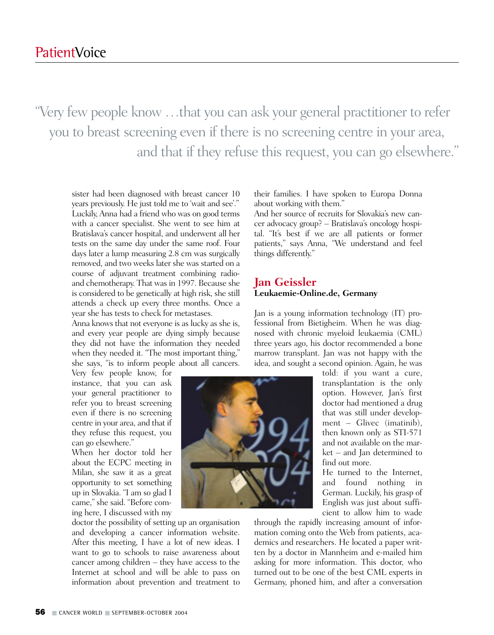"Very few people know …that you can ask your general practitioner to refer you to breast screening even if there is no screening centre in your area, and that if they refuse this request, you can go elsewhere."

sister had been diagnosed with breast cancer 10 years previously. He just told me to 'wait and see'." Luckily, Anna had a friend who was on good terms with a cancer specialist. She went to see him at Bratislava's cancer hospital, and underwent all her tests on the same day under the same roof. Four days later a lump measuring 2.8 cm was surgically removed, and two weeks later she was started on a course of adjuvant treatment combining radioand chemotherapy. That was in 1997. Because she is considered to be genetically at high risk, she still attends a check up every three months. Once a year she has tests to check for metastases.

Anna knows that not everyone is as lucky as she is, and every year people are dying simply because they did not have the information they needed when they needed it. "The most important thing," she says, "is to inform people about all cancers.

Very few people know, for instance, that you can ask your general practitioner to refer you to breast screening even if there is no screening centre in your area, and that if they refuse this request, you can go elsewhere."

When her doctor told her about the ECPC meeting in Milan, she saw it as a great opportunity to set something up in Slovakia. "I am so glad I came," she said. "Before coming here, I discussed with my

doctor the possibility of setting up an organisation and developing a cancer information website. After this meeting, I have a lot of new ideas. I want to go to schools to raise awareness about cancer among children – they have access to the Internet at school and will be able to pass on information about prevention and treatment to their families. I have spoken to Europa Donna about working with them."

And her source of recruits for Slovakia's new cancer advocacy group? – Bratislava's oncology hospital. "It's best if we are all patients or former patients," says Anna, "We understand and feel things differently."

### **Jan Geissler Leukaemie-Online.de, Germany**

Jan is a young information technology (IT) professional from Bietigheim. When he was diagnosed with chronic myeloid leukaemia (CML) three years ago, his doctor recommended a bone marrow transplant. Jan was not happy with the idea, and sought a second opinion. Again, he was



told: if you want a cure, transplantation is the only option. However, Jan's first doctor had mentioned a drug that was still under development – Glivec (imatinib), then known only as STI-571 and not available on the market – and Jan determined to find out more.

He turned to the Internet, and found nothing in German. Luckily, his grasp of English was just about sufficient to allow him to wade

through the rapidly increasing amount of information coming onto the Web from patients, academics and researchers. He located a paper written by a doctor in Mannheim and e-mailed him asking for more information. This doctor, who turned out to be one of the best CML experts in Germany, phoned him, and after a conversation